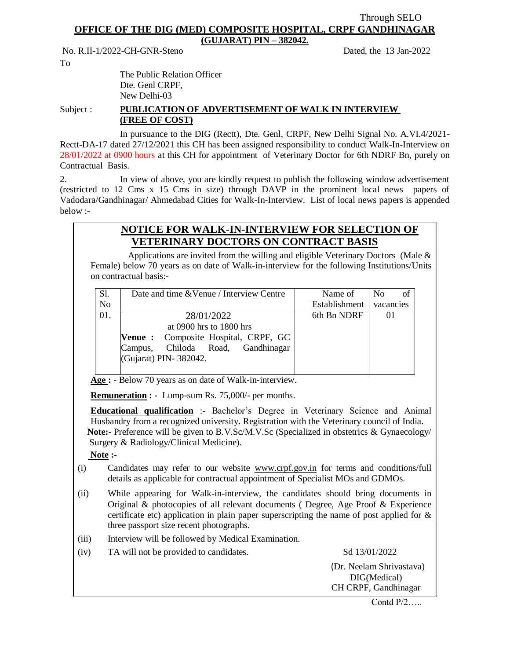## Through SELO **OFFICE OF THE DIG (MED) COMPOSITE HOSPITAL, CRPF GANDHINAGAR**

**(GUJARAT) PIN – 382042.**

No. R.II-1/2022-CH-GNR-Steno Dated, the 13 Jan-2022

To

The Public Relation Officer Dte. Genl CRPF, New Delhi-03

## Subject : **PUBLICATION OF ADVERTISEMENT OF WALK IN INTERVIEW (FREE OF COST)**

In pursuance to the DIG (Rectt), Dte. Genl, CRPF, New Delhi Signal No. A.VI.4/2021- Rectt-DA-17 dated 27/12/2021 this CH has been assigned responsibility to conduct Walk-In-Interview on 28/01/2022 at 0900 hours at this CH for appointment of Veterinary Doctor for 6th NDRF Bn, purely on Contractual Basis.

2. In view of above, you are kindly request to publish the following window advertisement (restricted to 12 Cms x 15 Cms in size) through DAVP in the prominent local news papers of Vadodara/Gandhinagar/ Ahmedabad Cities for Walk-In-Interview. List of local news papers is appended below :-

## **NOTICE FOR WALK-IN-INTERVIEW FOR SELECTION OF VETERINARY DOCTORS ON CONTRACT BASIS**

Applications are invited from the willing and eligible Veterinary Doctors (Male  $\&$ Female) below 70 years as on date of Walk-in-interview for the following Institutions/Units on contractual basis:-

| Sl.            | Date and time & Venue / Interview Centre | Name of       | N <sub>0</sub><br>οf |
|----------------|------------------------------------------|---------------|----------------------|
| N <sub>o</sub> |                                          | Establishment | vacancies            |
| 01.            | 28/01/2022                               | 6th Bn NDRF   | $_{01}$              |
|                | at 0900 hrs to 1800 hrs                  |               |                      |
|                | Venue : Composite Hospital, CRPF, GC     |               |                      |
|                | Chiloda Road, Gandhinagar<br>Campus,     |               |                      |
|                | (Gujarat) PIN-382042.                    |               |                      |
|                |                                          |               |                      |

**Age :** - Below 70 years as on date of Walk-in-interview.

**Remuneration : -** Lump-sum Rs. 75,000/- per months.

**Educational qualification** :- Bachelor's Degree in Veterinary Science and Animal Husbandry from a recognized university. Registration with the Veterinary council of India.  **Note:-** Preference will be given to B.V.Sc/M.V.Sc (Specialized in obstetrics & Gynaecology/ Surgery & Radiology/Clinical Medicine).

 **Note :-**

- (i) Candidates may refer to our website [www.crpf.gov.in](http://www.crpf.gov.in/) for terms and conditions/full details as applicable for contractual appointment of Specialist MOs and GDMOs.
- (ii) While appearing for Walk-in-interview, the candidates should bring documents in Original & photocopies of all relevant documents ( Degree, Age Proof & Experience certificate etc) application in plain paper superscripting the name of post applied for & three passport size recent photographs.
- (iii) Interview will be followed by Medical Examination.
- (iv) TA will not be provided to candidates. Sd  $13/01/2022$

 (Dr. Neelam Shrivastava) DIG(Medical) CH CRPF, Gandhinagar

Contd  $P/2$ .....